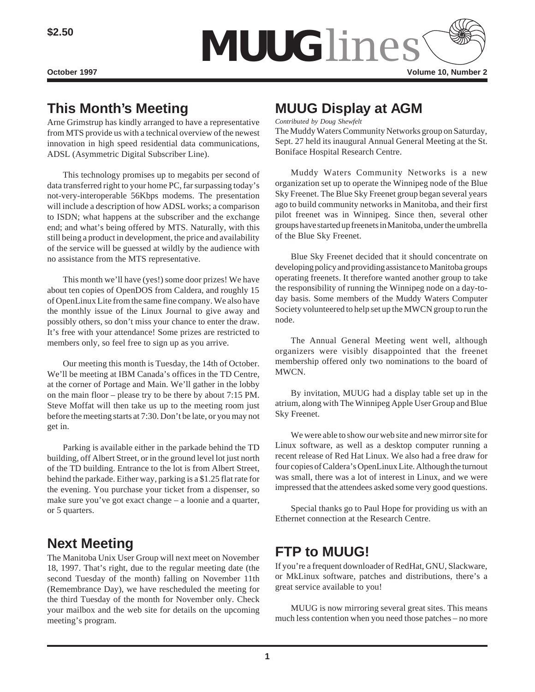

# **This Month's Meeting**

Arne Grimstrup has kindly arranged to have a representative from MTS provide us with a technical overview of the newest innovation in high speed residential data communications, ADSL (Asymmetric Digital Subscriber Line).

This technology promises up to megabits per second of data transferred right to your home PC, far surpassing today's not-very-interoperable 56Kbps modems. The presentation will include a description of how ADSL works; a comparison to ISDN; what happens at the subscriber and the exchange end; and what's being offered by MTS. Naturally, with this still being a product in development, the price and availability of the service will be guessed at wildly by the audience with no assistance from the MTS representative.

This month we'll have (yes!) some door prizes! We have about ten copies of OpenDOS from Caldera, and roughly 15 of OpenLinux Lite from the same fine company. We also have the monthly issue of the Linux Journal to give away and possibly others, so don't miss your chance to enter the draw. It's free with your attendance! Some prizes are restricted to members only, so feel free to sign up as you arrive.

Our meeting this month is Tuesday, the 14th of October. We'll be meeting at IBM Canada's offices in the TD Centre, at the corner of Portage and Main. We'll gather in the lobby on the main floor – please try to be there by about 7:15 PM. Steve Moffat will then take us up to the meeting room just before the meeting starts at 7:30. Don't be late, or you may not get in.

Parking is available either in the parkade behind the TD building, off Albert Street, or in the ground level lot just north of the TD building. Entrance to the lot is from Albert Street, behind the parkade. Either way, parking is a \$1.25 flat rate for the evening. You purchase your ticket from a dispenser, so make sure you've got exact change – a loonie and a quarter, or 5 quarters.

# **Next Meeting**

The Manitoba Unix User Group will next meet on November 18, 1997. That's right, due to the regular meeting date (the second Tuesday of the month) falling on November 11th (Remembrance Day), we have rescheduled the meeting for the third Tuesday of the month for November only. Check your mailbox and the web site for details on the upcoming meeting's program.

## **MUUG Display at AGM**

*Contributed by Doug Shewfelt*

The Muddy Waters Community Networks group on Saturday, Sept. 27 held its inaugural Annual General Meeting at the St. Boniface Hospital Research Centre.

Muddy Waters Community Networks is a new organization set up to operate the Winnipeg node of the Blue Sky Freenet. The Blue Sky Freenet group began several years ago to build community networks in Manitoba, and their first pilot freenet was in Winnipeg. Since then, several other groups have started up freenets in Manitoba, under the umbrella of the Blue Sky Freenet.

Blue Sky Freenet decided that it should concentrate on developing policy and providing assistance to Manitoba groups operating freenets. It therefore wanted another group to take the responsibility of running the Winnipeg node on a day-today basis. Some members of the Muddy Waters Computer Society volunteered to help set up the MWCN group to run the node.

The Annual General Meeting went well, although organizers were visibly disappointed that the freenet membership offered only two nominations to the board of MWCN.

By invitation, MUUG had a display table set up in the atrium, along with The Winnipeg Apple User Group and Blue Sky Freenet.

We were able to show our web site and new mirror site for Linux software, as well as a desktop computer running a recent release of Red Hat Linux. We also had a free draw for four copies of Caldera's OpenLinux Lite. Although the turnout was small, there was a lot of interest in Linux, and we were impressed that the attendees asked some very good questions.

Special thanks go to Paul Hope for providing us with an Ethernet connection at the Research Centre.

### **FTP to MUUG!**

If you're a frequent downloader of RedHat, GNU, Slackware, or MkLinux software, patches and distributions, there's a great service available to you!

MUUG is now mirroring several great sites. This means much less contention when you need those patches – no more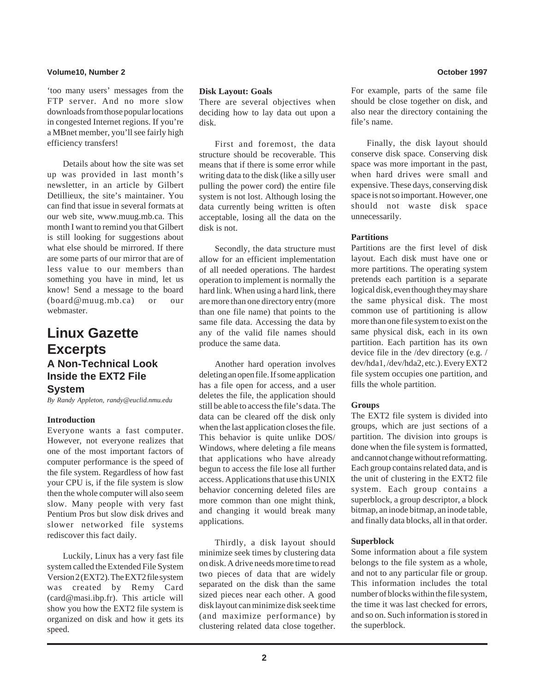#### **Volume10, Number 2 October 1997**

'too many users' messages from the FTP server. And no more slow downloads from those popular locations in congested Internet regions. If you're a MBnet member, you'll see fairly high efficiency transfers!

Details about how the site was set up was provided in last month's newsletter, in an article by Gilbert Detillieux, the site's maintainer. You can find that issue in several formats at our web site, www.muug.mb.ca. This month I want to remind you that Gilbert is still looking for suggestions about what else should be mirrored. If there are some parts of our mirror that are of less value to our members than something you have in mind, let us know! Send a message to the board (board@muug.mb.ca) or our webmaster.

### **Linux Gazette Excerpts A Non-Technical Look Inside the EXT2 File System**

*By Randy Appleton, randy@euclid.nmu.edu*

#### **Introduction**

Everyone wants a fast computer. However, not everyone realizes that one of the most important factors of computer performance is the speed of the file system. Regardless of how fast your CPU is, if the file system is slow then the whole computer will also seem slow. Many people with very fast Pentium Pros but slow disk drives and slower networked file systems rediscover this fact daily.

Luckily, Linux has a very fast file system called the Extended File System Version 2 (EXT2). The EXT2 file system was created by Remy Card (card@masi.ibp.fr). This article will show you how the EXT2 file system is organized on disk and how it gets its speed.

#### **Disk Layout: Goals**

There are several objectives when deciding how to lay data out upon a disk.

First and foremost, the data structure should be recoverable. This means that if there is some error while writing data to the disk (like a silly user pulling the power cord) the entire file system is not lost. Although losing the data currently being written is often acceptable, losing all the data on the disk is not.

Secondly, the data structure must allow for an efficient implementation of all needed operations. The hardest operation to implement is normally the hard link. When using a hard link, there are more than one directory entry (more than one file name) that points to the same file data. Accessing the data by any of the valid file names should produce the same data.

Another hard operation involves deleting an open file. If some application has a file open for access, and a user deletes the file, the application should still be able to access the file's data. The data can be cleared off the disk only when the last application closes the file. This behavior is quite unlike DOS/ Windows, where deleting a file means that applications who have already begun to access the file lose all further access. Applications that use this UNIX behavior concerning deleted files are more common than one might think, and changing it would break many applications.

Thirdly, a disk layout should minimize seek times by clustering data on disk. A drive needs more time to read two pieces of data that are widely separated on the disk than the same sized pieces near each other. A good disk layout can minimize disk seek time (and maximize performance) by clustering related data close together. For example, parts of the same file should be close together on disk, and also near the directory containing the file's name.

Finally, the disk layout should conserve disk space. Conserving disk space was more important in the past, when hard drives were small and expensive. These days, conserving disk space is not so important. However, one should not waste disk space unnecessarily.

#### **Partitions**

Partitions are the first level of disk layout. Each disk must have one or more partitions. The operating system pretends each partition is a separate logical disk, even though they may share the same physical disk. The most common use of partitioning is allow more than one file system to exist on the same physical disk, each in its own partition. Each partition has its own device file in the /dev directory (e.g. / dev/hda1, /dev/hda2, etc.). Every EXT2 file system occupies one partition, and fills the whole partition.

#### **Groups**

The EXT2 file system is divided into groups, which are just sections of a partition. The division into groups is done when the file system is formatted, and cannot change without reformatting. Each group contains related data, and is the unit of clustering in the EXT2 file system. Each group contains a superblock, a group descriptor, a block bitmap, an inode bitmap, an inode table, and finally data blocks, all in that order.

#### **Superblock**

Some information about a file system belongs to the file system as a whole, and not to any particular file or group. This information includes the total number of blocks within the file system, the time it was last checked for errors, and so on. Such information is stored in the superblock.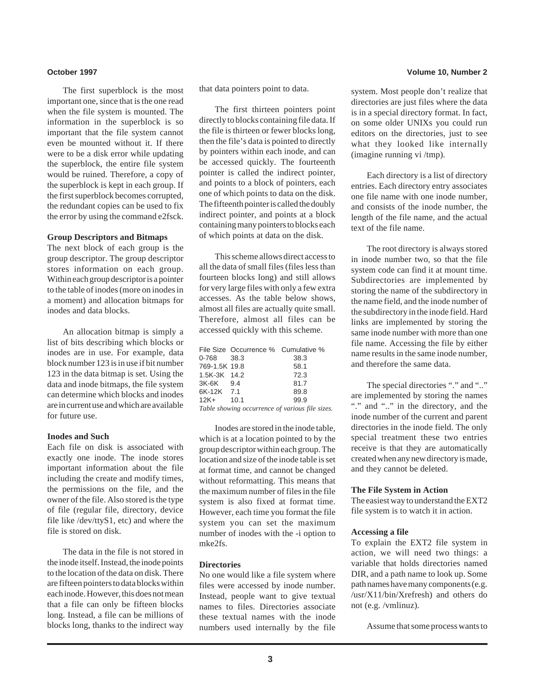The first superblock is the most important one, since that is the one read when the file system is mounted. The information in the superblock is so important that the file system cannot even be mounted without it. If there were to be a disk error while updating the superblock, the entire file system would be ruined. Therefore, a copy of the superblock is kept in each group. If the first superblock becomes corrupted, the redundant copies can be used to fix the error by using the command e2fsck.

#### **Group Descriptors and Bitmaps**

The next block of each group is the group descriptor. The group descriptor stores information on each group. Within each group descriptor is a pointer to the table of inodes (more on inodes in a moment) and allocation bitmaps for inodes and data blocks.

An allocation bitmap is simply a list of bits describing which blocks or inodes are in use. For example, data block number 123 is in use if bit number 123 in the data bitmap is set. Using the data and inode bitmaps, the file system can determine which blocks and inodes are in current use and which are available for future use.

#### **Inodes and Such**

Each file on disk is associated with exactly one inode. The inode stores important information about the file including the create and modify times, the permissions on the file, and the owner of the file. Also stored is the type of file (regular file, directory, device file like /dev/ttyS1, etc) and where the file is stored on disk.

The data in the file is not stored in the inode itself. Instead, the inode points to the location of the data on disk. There are fifteen pointers to data blocks within each inode. However, this does not mean that a file can only be fifteen blocks long. Instead, a file can be millions of blocks long, thanks to the indirect way

that data pointers point to data.

The first thirteen pointers point directly to blocks containing file data. If the file is thirteen or fewer blocks long, then the file's data is pointed to directly by pointers within each inode, and can be accessed quickly. The fourteenth pointer is called the indirect pointer, and points to a block of pointers, each one of which points to data on the disk. The fifteenth pointer is called the doubly indirect pointer, and points at a block containing many pointers to blocks each of which points at data on the disk.

This scheme allows direct access to all the data of small files (files less than fourteen blocks long) and still allows for very large files with only a few extra accesses. As the table below shows, almost all files are actually quite small. Therefore, almost all files can be accessed quickly with this scheme.

|                                                 | File Size Occurrence % Cumulative % |      |
|-------------------------------------------------|-------------------------------------|------|
| 0-768 38.3                                      |                                     | 38.3 |
| 769-1.5K 19.8                                   |                                     | 58.1 |
| 1.5K-3K 14.2                                    |                                     | 72.3 |
| 3K-6K 9.4                                       |                                     | 81.7 |
| 6K-12K 7.1                                      |                                     | 89.8 |
| $12K + 10.1$                                    |                                     | 99.9 |
| Table showing occurrence of various file sizes. |                                     |      |

Inodes are stored in the inode table, which is at a location pointed to by the group descriptor within each group. The location and size of the inode table is set at format time, and cannot be changed without reformatting. This means that the maximum number of files in the file system is also fixed at format time. However, each time you format the file system you can set the maximum number of inodes with the -i option to

#### **Directories**

mke2fs.

No one would like a file system where files were accessed by inode number. Instead, people want to give textual names to files. Directories associate these textual names with the inode numbers used internally by the file

#### **October 1997 Volume 10, Number 2**

system. Most people don't realize that directories are just files where the data is in a special directory format. In fact, on some older UNIXs you could run editors on the directories, just to see what they looked like internally (imagine running vi /tmp).

Each directory is a list of directory entries. Each directory entry associates one file name with one inode number, and consists of the inode number, the length of the file name, and the actual text of the file name.

The root directory is always stored in inode number two, so that the file system code can find it at mount time. Subdirectories are implemented by storing the name of the subdirectory in the name field, and the inode number of the subdirectory in the inode field. Hard links are implemented by storing the same inode number with more than one file name. Accessing the file by either name results in the same inode number, and therefore the same data.

The special directories "." and ".." are implemented by storing the names "." and ".." in the directory, and the inode number of the current and parent directories in the inode field. The only special treatment these two entries receive is that they are automatically created when any new directory is made, and they cannot be deleted.

#### **The File System in Action**

The easiest way to understand the EXT2 file system is to watch it in action.

#### **Accessing a file**

To explain the EXT2 file system in action, we will need two things: a variable that holds directories named DIR, and a path name to look up. Some path names have many components (e.g. /usr/X11/bin/Xrefresh) and others do not (e.g. /vmlinuz).

Assume that some process wants to